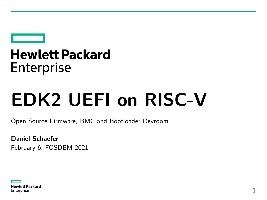## **Hewlett Packard Enterprise**

# **EDK2 UEFI on RISC-V**

Open Source Firmware, BMC and Bootloader Devroom

**Daniel Schaefer** February 6, FOSDEM 2021

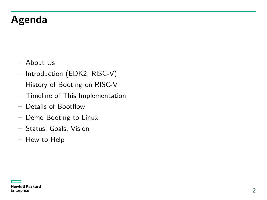#### **Agenda**

- About Us
- Introduction (EDK2, RISC-V)
- History of Booting on RISC-V
- Timeline of This Implementation
- Details of Bootflow
- Demo Booting to Linux
- Status, Goals, Vision
- How to Help

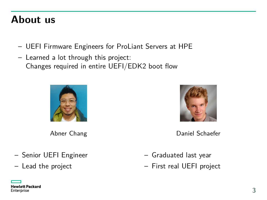#### **About us**

- UEFI Firmware Engineers for ProLiant Servers at HPE
- Learned a lot through this project: Changes required in entire UEFI/EDK2 boot flow



Abner Chang

- Senior UEFI Engineer
- Lead the project



Daniel Schaefer

- Graduated last year
- First real UEFI project

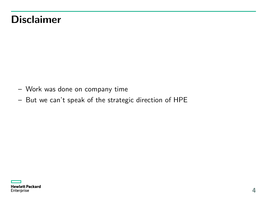#### **Disclaimer**

- Work was done on company time
- But we can't speak of the strategic direction of HPE

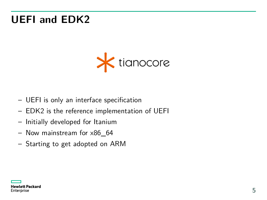#### **UEFI and EDK2**



- UEFI is only an interface specification
- EDK2 is the reference implementation of UEFI
- Initially developed for Itanium
- Now mainstream for x86\_64
- Starting to get adopted on ARM

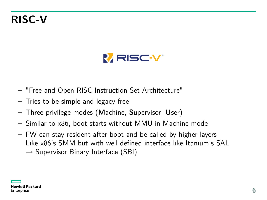#### **RISC-V**



- "Free and Open RISC Instruction Set Architecture"
- Tries to be simple and legacy-free
- Three privilege modes (**M**achine, **S**upervisor, **U**ser)
- Similar to x86, boot starts without MMU in Machine mode
- FW can stay resident after boot and be called by higher layers Like x86's SMM but with well defined interface like Itanium's SAL  $\rightarrow$  Supervisor Binary Interface (SBI)

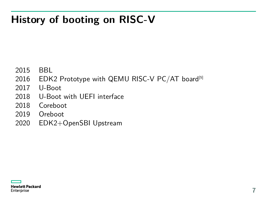#### **History of booting on RISC-V**

- 2015 BBL
- 2016 EDK2 Prototype with QEMU RISC-V PC/AT board<sup>[5]</sup>
- 2017 U-Boot
- 2018 U-Boot with UEFI interface
- 2018 Coreboot
- 2019 Oreboot
- 2020 EDK2+OpenSBI Upstream

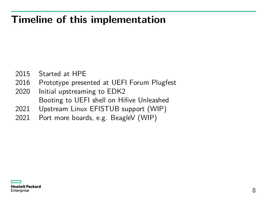#### **Timeline of this implementation**

- 2015 Started at HPE
- 2016 Prototype presented at UEFI Forum Plugfest
- 2020 Initial upstreaming to EDK2 Booting to UEFI shell on Hifive Unleashed
- 2021 Upstream Linux EFISTUB support (WIP)
- 2021 Port more boards, e.g. BeagleV (WIP)

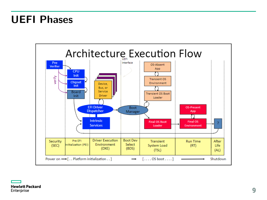#### **UEFI Phases**

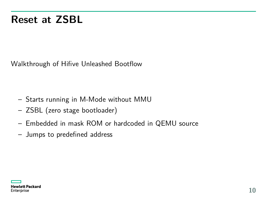#### **Reset at ZSBL**

Walkthrough of Hifive Unleashed Bootflow

- Starts running in M-Mode without MMU
- ZSBL (zero stage bootloader)
- Embedded in mask ROM or hardcoded in QEMU source
- Jumps to predefined address

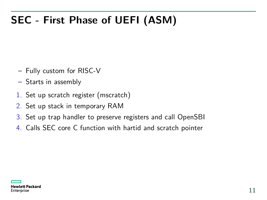### **SEC - First Phase of UEFI (ASM)**

- Fully custom for RISC-V
- Starts in assembly
- 1. Set up scratch register (mscratch)
- 2. Set up stack in temporary RAM
- 3. Set up trap handler to preserve registers and call OpenSBI
- 4. Calls SEC core C function with hartid and scratch pointer

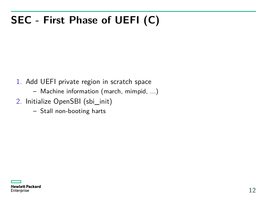### **SEC - First Phase of UEFI (C)**

- 1. Add UEFI private region in scratch space
	- Machine information (march, mimpid, ...)
- 2. Initialize OpenSBI (sbi\_init)
	- Stall non-booting harts

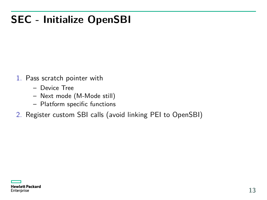#### **SEC - Initialize OpenSBI**

- 1. Pass scratch pointer with
	- Device Tree
	- Next mode (M-Mode still)
	- Platform specific functions
- 2. Register custom SBI calls (avoid linking PEI to OpenSBI)

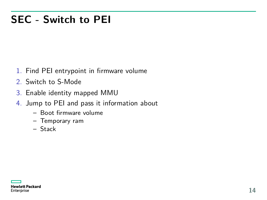#### **SEC - Switch to PEI**

- 1. Find PEI entrypoint in firmware volume
- 2. Switch to S-Mode
- 3. Enable identity mapped MMU
- 4. Jump to PEI and pass it information about
	- Boot firmware volume
	- Temporary ram
	- Stack

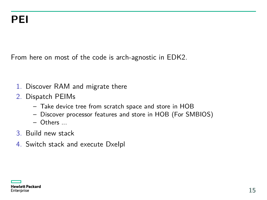From here on most of the code is arch-agnostic in EDK2.

- 1. Discover RAM and migrate there
- 2. Dispatch PEIMs
	- Take device tree from scratch space and store in HOB
	- Discover processor features and store in HOB (For SMBIOS)
	- Others ...
- 3. Build new stack
- 4. Switch stack and execute DxeIpl

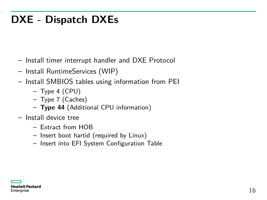#### **DXE - Dispatch DXEs**

- Install timer interrupt handler and DXE Protocol
- Install RuntimeServices (WIP)
- Install SMBIOS tables using information from PEI
	- Type 4 (CPU)
	- Type 7 (Caches)
	- **Type 44** (Additional CPU information)
- Install device tree
	- Extract from HOB
	- Insert boot hartid (required by Linux)
	- Insert into EFI System Configuration Table

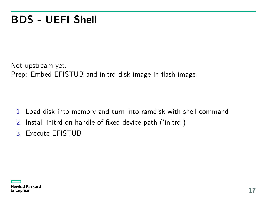#### **BDS - UEFI Shell**

Not upstream yet. Prep: Embed EFISTUB and initrd disk image in flash image

- 1. Load disk into memory and turn into ramdisk with shell command
- 2. Install initrd on handle of fixed device path ('initrd')
- 3. Execute EFISTUB

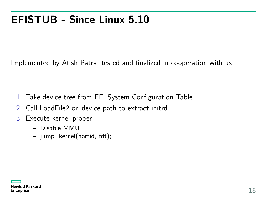#### **EFISTUB - Since Linux 5.10**

Implemented by Atish Patra, tested and finalized in cooperation with us

- 1. Take device tree from EFI System Configuration Table
- 2. Call LoadFile2 on device path to extract initrd
- 3. Execute kernel proper
	- Disable MMU
	- jump\_kernel(hartid, fdt);

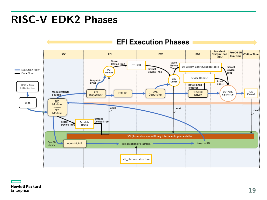#### **RISC-V EDK2 Phases**



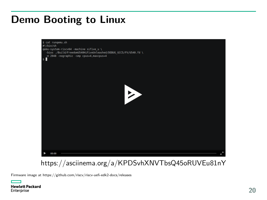#### **Demo Booting to Linux**



<https://asciinema.org/a/KPDSvhXNVTbsQ45oRUVEu81nY>

Firmware image at<https://github.com/riscv/riscv-uefi-edk2-docs/releases>

**Hewlett Packard** Enterprise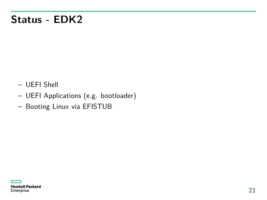#### **Status - EDK2**

- UEFI Shell
- UEFI Applications (e.g. bootloader)
- Booting Linux via EFISTUB

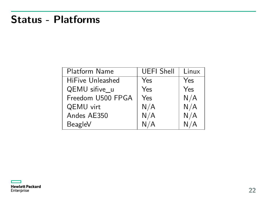#### **Status - Platforms**

| Platform Name           | <b>UEFI Shell</b> | Linux |
|-------------------------|-------------------|-------|
| <b>HiFive Unleashed</b> | Yes               | Yes   |
| QEMU sifive u           | Yes               | Yes   |
| Freedom U500 FPGA       | Yes               | N/A   |
| QEMU virt               | N/A               | N/A   |
| Andes AE350             | N/A               | N/A   |
| BeagleV                 | N/A               | N/A   |

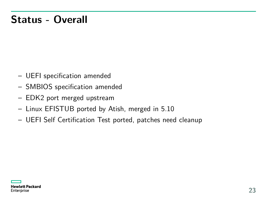#### **Status - Overall**

- UEFI specification amended
- SMBIOS specification amended
- EDK2 port merged upstream
- Linux EFISTUB ported by Atish, merged in 5.10
- UEFI Self Certification Test ported, patches need cleanup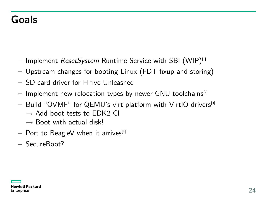#### **Goals**

- $-$  Implement ResetSystem Runtime Service with SBI (WIP)<sup>[1]</sup>
- Upstream changes for booting Linux (FDT fixup and storing)
- SD card driver for Hifive Unleashed
- $-$  Implement new relocation types by newer GNU toolchains<sup>[2]</sup>
- Build "OVMF" for QEMU's virt platform with VirtIO drivers[3]
	- $\rightarrow$  Add boot tests to FDK2 CI
	- $\rightarrow$  Boot with actual disk!
- Port to BeagleV when it arrives<sup>[4]</sup>
- SecureBoot?

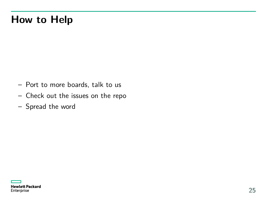#### **How to Help**

- Port to more boards, talk to us
- Check out the issues on the repo
- Spread the word

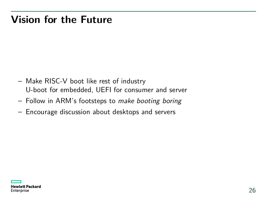#### **Vision for the Future**

- Make RISC-V boot like rest of industry U-boot for embedded, UEFI for consumer and server
- Follow in ARM's footsteps to make booting boring
- Encourage discussion about desktops and servers

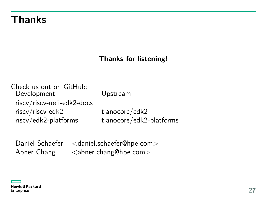#### **Thanks**

#### **Thanks for listening!**

| Check us out on GitHub:<br>Development         | Upstream                 |
|------------------------------------------------|--------------------------|
| riscv/riscv-uefi-edk2-docs<br>riscv/riscv-edk2 | tianocore/edk2           |
| riscv/edk2-platforms                           | tianocore/edk2-platforms |
|                                                |                          |

Daniel Schaefer <daniel.schaefer@hpe.com> Abner Chang <abner.chang@hpe.com>

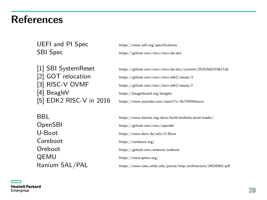#### **References**

UEFI and PI Spec https://www.uefi.org/specifications

SBI Spec https://github.com/riscv/riscv-sbi-doc

[1] SBI SystemReset https://github.com/riscv/riscv-sbi-doc/commit/2f101582210b17a6 [4] BeagleV https://beagleboard.org/beaglev [5] EDK2 RISC-V in 2016 https://www.youtube.com/watch?v=9c73WHduovs

[2] GOT relocation https://github.com/riscv/riscv-edk2/issues/3 [3] RISC-V OVMF https://github.com/riscv/riscv-edk2/issues/2

BBL https://www.lowrisc.org/docs/build-berkeley-boot-loader/ OpenSBI https://github.com/riscv/opensbi U-Boot https://www.denx.de/wiki/U-Boot Coreboot https://coreboot.org/ Oreboot https://github.com/oreboot/oreboot QEMU https://www.qemu.org/ Itanium SAL/PAL https://www.csee.umbc.edu/portal/help/architecture/24535901.pdf